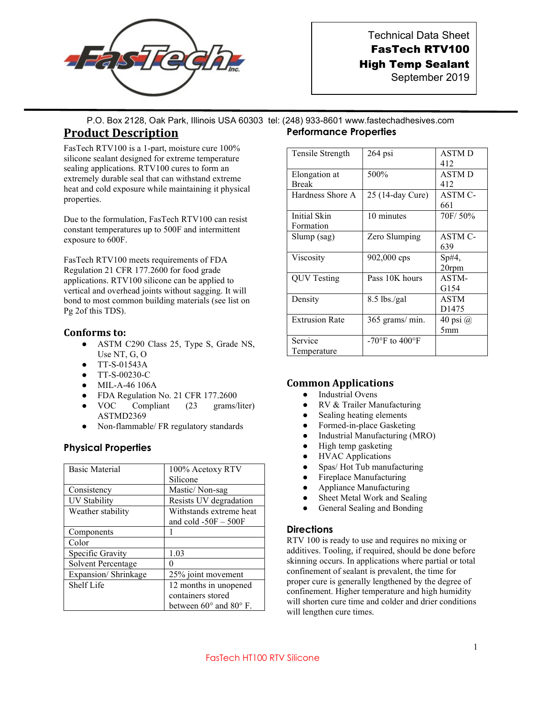

Technical Data Sheet FasTech RTV100 High Temp Sealant

September 2019

P.O. Box 2128, Oak Park, Illinois USA 60303 tel: (248) 933-8601 www.fastechadhesives.com

## Product Description

FasTech RTV100 is a 1-part, moisture cure 100% silicone sealant designed for extreme temperature sealing applications. RTV100 cures to form an extremely durable seal that can withstand extreme heat and cold exposure while maintaining it physical properties.

Due to the formulation, FasTech RTV100 can resist constant temperatures up to 500F and intermittent exposure to 600F.

FasTech RTV100 meets requirements of FDA Regulation 21 CFR 177.2600 for food grade applications. RTV100 silicone can be applied to vertical and overhead joints without sagging. It will bond to most common building materials (see list on Pg 2of this TDS).

#### Conforms to:

- ASTM C290 Class 25, Type S, Grade NS, Use NT, G, O
- TT-S-01543A
- TT-S-00230-C
- MIL-A-46 106A
- FDA Regulation No. 21 CFR 177.2600
- VOC Compliant (23 grams/liter) ASTMD2369
- Non-flammable/ FR regulatory standards

### Physical Properties

| <b>Basic Material</b> | 100% Acetoxy RTV                                  |  |
|-----------------------|---------------------------------------------------|--|
|                       | Silicone                                          |  |
| Consistency           | Mastic/Non-sag                                    |  |
| <b>UV Stability</b>   | Resists UV degradation                            |  |
| Weather stability     | Withstands extreme heat<br>and cold $-50F - 500F$ |  |
| Components            |                                                   |  |
| Color                 |                                                   |  |
| Specific Gravity      | 1.03                                              |  |
| Solvent Percentage    |                                                   |  |
| Expansion/Shrinkage   | 25% joint movement                                |  |
| Shelf Life            | 12 months in unopened                             |  |
|                       | containers stored                                 |  |
|                       | between $60^{\circ}$ and $80^{\circ}$ F.          |  |

# Performance Properties

| Tensile Strength              | $264$ psi        | <b>ASTMD</b><br>412              |
|-------------------------------|------------------|----------------------------------|
| Elongation at<br><b>Break</b> | 500%             | <b>ASTMD</b><br>412              |
| Hardness Shore A              | 25 (14-day Cure) | ASTM C-<br>661                   |
| Initial Skin<br>Formation     | 10 minutes       | 70F/50%                          |
| Slump (sag)                   | Zero Slumping    | ASTM C-<br>639                   |
| Viscosity                     | $902,000$ cps    | $Sp#4$ ,<br>20rpm                |
| QUV Testing                   | Pass 10K hours   | ASTM-<br>G154                    |
| Density                       | 8.5 lbs./gal     | <b>ASTM</b><br>D <sub>1475</sub> |
| <b>Extrusion Rate</b>         | 365 grams/ min.  | 40 psi $\omega$<br>5mm           |
| Service<br>Temperature        | -70°F to 400°F   |                                  |

#### Common Applications

- Industrial Ovens
- RV & Trailer Manufacturing
- Sealing heating elements
- Formed-in-place Gasketing
- Industrial Manufacturing (MRO)
- High temp gasketing
- HVAC Applications
- Spas/Hot Tub manufacturing
- Fireplace Manufacturing
- Appliance Manufacturing
- Sheet Metal Work and Sealing
- General Sealing and Bonding

#### **Directions**

RTV 100 is ready to use and requires no mixing or additives. Tooling, if required, should be done before skinning occurs. In applications where partial or total confinement of sealant is prevalent, the time for proper cure is generally lengthened by the degree of confinement. Higher temperature and high humidity will shorten cure time and colder and drier conditions will lengthen cure times.